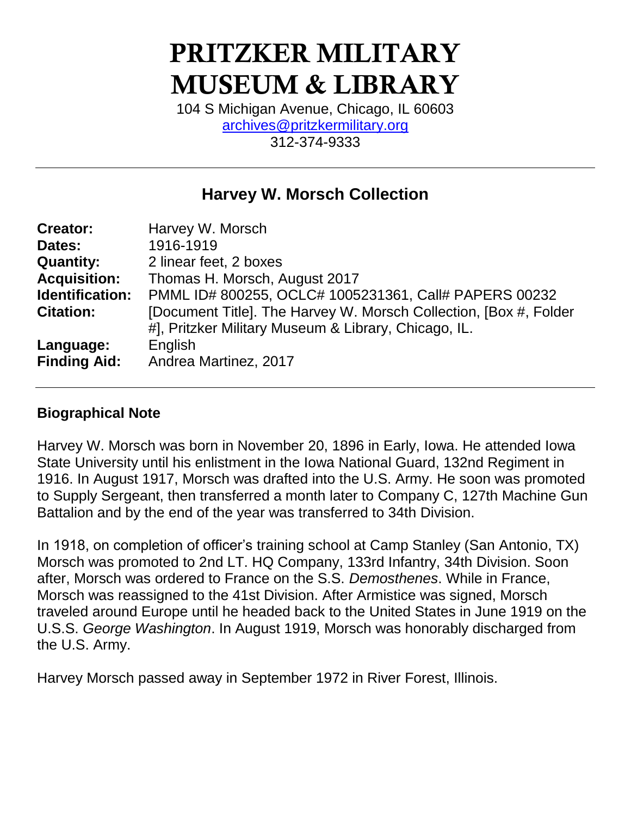# PRITZKER MILITARY MUSEUM & LIBRARY

104 S Michigan Avenue, Chicago, IL 60603 [archives@pritzkermilitary.org](mailto:archives@pritzkermilitary.org) 312-374-9333

# **Harvey W. Morsch Collection**

| <b>Creator:</b>     | Harvey W. Morsch                                                  |
|---------------------|-------------------------------------------------------------------|
| Dates:              | 1916-1919                                                         |
| <b>Quantity:</b>    | 2 linear feet, 2 boxes                                            |
| <b>Acquisition:</b> | Thomas H. Morsch, August 2017                                     |
| Identification:     | PMML ID# 800255, OCLC# 1005231361, Call# PAPERS 00232             |
| <b>Citation:</b>    | [Document Title]. The Harvey W. Morsch Collection, [Box #, Folder |
|                     | #], Pritzker Military Museum & Library, Chicago, IL.              |
| Language:           | English                                                           |
| <b>Finding Aid:</b> | Andrea Martinez, 2017                                             |

# **Biographical Note**

Harvey W. Morsch was born in November 20, 1896 in Early, Iowa. He attended Iowa State University until his enlistment in the Iowa National Guard, 132nd Regiment in 1916. In August 1917, Morsch was drafted into the U.S. Army. He soon was promoted to Supply Sergeant, then transferred a month later to Company C, 127th Machine Gun Battalion and by the end of the year was transferred to 34th Division.

In 1918, on completion of officer's training school at Camp Stanley (San Antonio, TX) Morsch was promoted to 2nd LT. HQ Company, 133rd Infantry, 34th Division. Soon after, Morsch was ordered to France on the S.S. *Demosthenes*. While in France, Morsch was reassigned to the 41st Division. After Armistice was signed, Morsch traveled around Europe until he headed back to the United States in June 1919 on the U.S.S. *George Washington*. In August 1919, Morsch was honorably discharged from the U.S. Army.

Harvey Morsch passed away in September 1972 in River Forest, Illinois.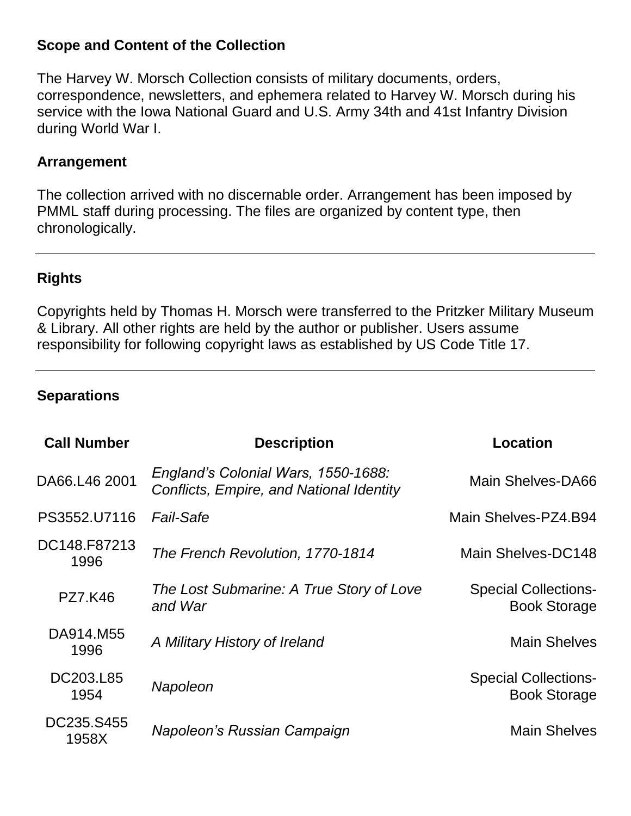### **Scope and Content of the Collection**

The Harvey W. Morsch Collection consists of military documents, orders, correspondence, newsletters, and ephemera related to Harvey W. Morsch during his service with the Iowa National Guard and U.S. Army 34th and 41st Infantry Division during World War I.

#### **Arrangement**

The collection arrived with no discernable order. Arrangement has been imposed by PMML staff during processing. The files are organized by content type, then chronologically.

# **Rights**

Copyrights held by Thomas H. Morsch were transferred to the Pritzker Military Museum & Library. All other rights are held by the author or publisher. Users assume responsibility for following copyright laws as established by US Code Title 17.

# **Separations**

| <b>Call Number</b>   | <b>Description</b>                                                                     | <b>Location</b>                                    |
|----------------------|----------------------------------------------------------------------------------------|----------------------------------------------------|
| DA66.L46 2001        | England's Colonial Wars, 1550-1688:<br><b>Conflicts, Empire, and National Identity</b> | Main Shelves-DA66                                  |
| PS3552.U7116         | <b>Fail-Safe</b>                                                                       | Main Shelves-PZ4.B94                               |
| DC148.F87213<br>1996 | The French Revolution, 1770-1814                                                       | Main Shelves-DC148                                 |
| <b>PZ7.K46</b>       | The Lost Submarine: A True Story of Love<br>and War                                    | <b>Special Collections-</b><br><b>Book Storage</b> |
| DA914.M55<br>1996    | A Military History of Ireland                                                          | <b>Main Shelves</b>                                |
| DC203.L85<br>1954    | Napoleon                                                                               | <b>Special Collections-</b><br><b>Book Storage</b> |
| DC235.S455<br>1958X  | Napoleon's Russian Campaign                                                            | <b>Main Shelves</b>                                |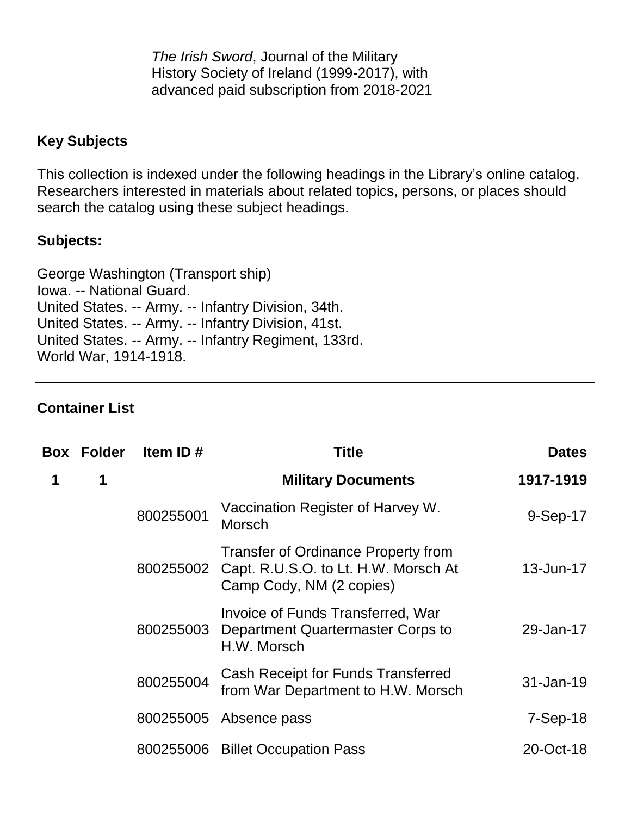*The Irish Sword*, Journal of the Military History Society of Ireland (1999-2017), with advanced paid subscription from 2018-2021

### **Key Subjects**

This collection is indexed under the following headings in the Library's online catalog. Researchers interested in materials about related topics, persons, or places should search the catalog using these subject headings.

#### **Subjects:**

George Washington (Transport ship) Iowa. -- National Guard. United States. -- Army. -- Infantry Division, 34th. United States. -- Army. -- Infantry Division, 41st. United States. -- Army. -- Infantry Regiment, 133rd. World War, 1914-1918.

#### **Container List**

|   | <b>Box Folder</b> | Item ID#  | <b>Title</b>                                                                                                   | <b>Dates</b> |
|---|-------------------|-----------|----------------------------------------------------------------------------------------------------------------|--------------|
| 1 | 1                 |           | <b>Military Documents</b>                                                                                      | 1917-1919    |
|   |                   | 800255001 | Vaccination Register of Harvey W.<br>Morsch                                                                    | 9-Sep-17     |
|   |                   | 800255002 | <b>Transfer of Ordinance Property from</b><br>Capt. R.U.S.O. to Lt. H.W. Morsch At<br>Camp Cody, NM (2 copies) | 13-Jun-17    |
|   |                   | 800255003 | Invoice of Funds Transferred, War<br>Department Quartermaster Corps to<br>H.W. Morsch                          | 29-Jan-17    |
|   |                   | 800255004 | Cash Receipt for Funds Transferred<br>from War Department to H.W. Morsch                                       | 31-Jan-19    |
|   |                   | 800255005 | Absence pass                                                                                                   | $7-Sep-18$   |
|   |                   | 800255006 | <b>Billet Occupation Pass</b>                                                                                  | 20-Oct-18    |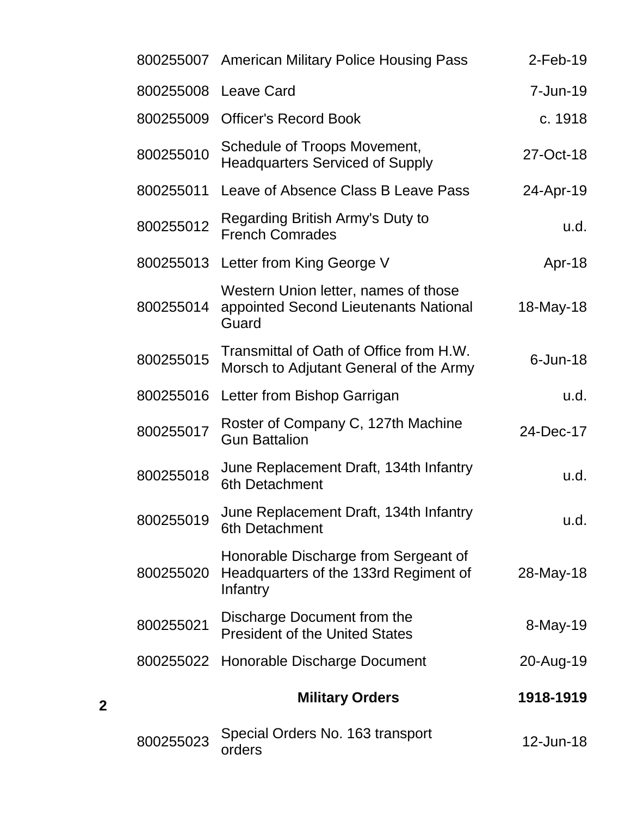| $2$ -Feb-19 | 800255007 American Military Police Housing Pass                                           |           |
|-------------|-------------------------------------------------------------------------------------------|-----------|
| 7-Jun-19    | <b>Leave Card</b>                                                                         | 800255008 |
| c. 1918     | <b>Officer's Record Book</b>                                                              | 800255009 |
| 27-Oct-18   | Schedule of Troops Movement,<br><b>Headquarters Serviced of Supply</b>                    | 800255010 |
| 24-Apr-19   | Leave of Absence Class B Leave Pass                                                       | 800255011 |
| u.d.        | Regarding British Army's Duty to<br><b>French Comrades</b>                                | 800255012 |
| Apr-18      | Letter from King George V                                                                 | 800255013 |
| 18-May-18   | Western Union letter, names of those<br>appointed Second Lieutenants National<br>Guard    | 800255014 |
| $6$ -Jun-18 | Transmittal of Oath of Office from H.W.<br>Morsch to Adjutant General of the Army         | 800255015 |
| u.d.        | Letter from Bishop Garrigan                                                               | 800255016 |
| 24-Dec-17   | Roster of Company C, 127th Machine<br><b>Gun Battalion</b>                                | 800255017 |
| u.d.        | June Replacement Draft, 134th Infantry<br>6th Detachment                                  | 800255018 |
| u.d.        | June Replacement Draft, 134th Infantry<br>6th Detachment                                  | 800255019 |
| 28-May-18   | Honorable Discharge from Sergeant of<br>Headquarters of the 133rd Regiment of<br>Infantry | 800255020 |
| 8-May-19    | Discharge Document from the<br><b>President of the United States</b>                      | 800255021 |
| 20-Aug-19   | Honorable Discharge Document                                                              | 800255022 |
| 1918-1919   | <b>Military Orders</b>                                                                    |           |
| 12-Jun-18   | Special Orders No. 163 transport<br>orders                                                | 800255023 |

**2**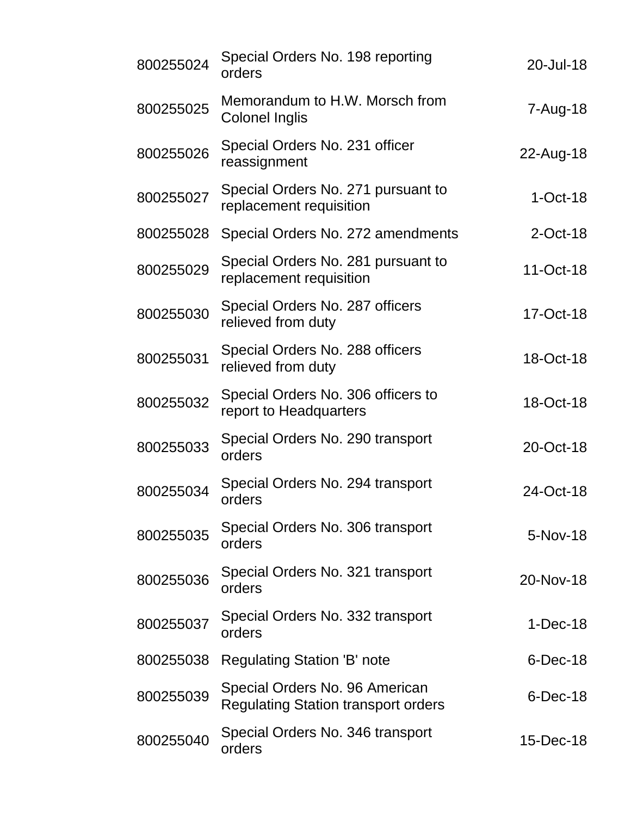| 800255024 | Special Orders No. 198 reporting<br>orders                                   | 20-Jul-18   |
|-----------|------------------------------------------------------------------------------|-------------|
| 800255025 | Memorandum to H.W. Morsch from<br>Colonel Inglis                             | 7-Aug-18    |
| 800255026 | Special Orders No. 231 officer<br>reassignment                               | 22-Aug-18   |
| 800255027 | Special Orders No. 271 pursuant to<br>replacement requisition                | $1-Oct-18$  |
| 800255028 | Special Orders No. 272 amendments                                            | $2$ -Oct-18 |
| 800255029 | Special Orders No. 281 pursuant to<br>replacement requisition                | 11-Oct-18   |
| 800255030 | Special Orders No. 287 officers<br>relieved from duty                        | 17-Oct-18   |
| 800255031 | Special Orders No. 288 officers<br>relieved from duty                        | 18-Oct-18   |
| 800255032 | Special Orders No. 306 officers to<br>report to Headquarters                 | 18-Oct-18   |
| 800255033 | Special Orders No. 290 transport<br>orders                                   | 20-Oct-18   |
| 800255034 | Special Orders No. 294 transport<br>orders                                   | 24-Oct-18   |
| 800255035 | Special Orders No. 306 transport<br>orders                                   | 5-Nov-18    |
| 800255036 | Special Orders No. 321 transport<br>orders                                   | 20-Nov-18   |
| 800255037 | Special Orders No. 332 transport<br>orders                                   | $1-Dec-18$  |
| 800255038 | Regulating Station 'B' note                                                  | $6$ -Dec-18 |
| 800255039 | Special Orders No. 96 American<br><b>Regulating Station transport orders</b> | $6$ -Dec-18 |
| 800255040 | Special Orders No. 346 transport<br>orders                                   | 15-Dec-18   |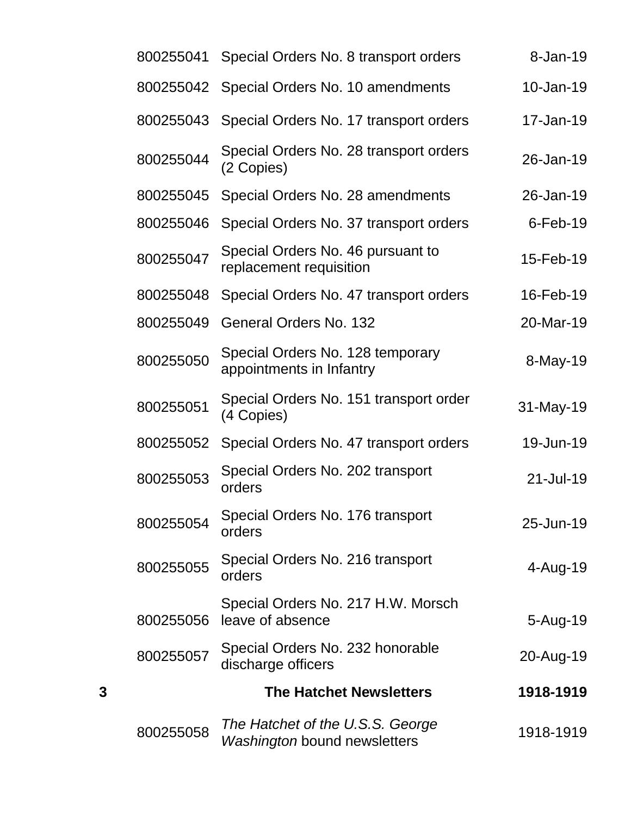|   | 800255041 | Special Orders No. 8 transport orders                            | 8-Jan-19    |
|---|-----------|------------------------------------------------------------------|-------------|
|   | 800255042 | Special Orders No. 10 amendments                                 | 10-Jan-19   |
|   | 800255043 | Special Orders No. 17 transport orders                           | 17-Jan-19   |
|   | 800255044 | Special Orders No. 28 transport orders<br>(2 Copies)             | 26-Jan-19   |
|   | 800255045 | Special Orders No. 28 amendments                                 | 26-Jan-19   |
|   | 800255046 | Special Orders No. 37 transport orders                           | $6$ -Feb-19 |
|   | 800255047 | Special Orders No. 46 pursuant to<br>replacement requisition     | 15-Feb-19   |
|   | 800255048 | Special Orders No. 47 transport orders                           | 16-Feb-19   |
|   | 800255049 | <b>General Orders No. 132</b>                                    | 20-Mar-19   |
|   | 800255050 | Special Orders No. 128 temporary<br>appointments in Infantry     | 8-May-19    |
|   | 800255051 | Special Orders No. 151 transport order<br>(4 Copies)             | 31-May-19   |
|   | 800255052 | Special Orders No. 47 transport orders                           | 19-Jun-19   |
|   | 800255053 | Special Orders No. 202 transport<br>orders                       | 21-Jul-19   |
|   | 800255054 | Special Orders No. 176 transport<br>orders                       | 25-Jun-19   |
|   | 800255055 | Special Orders No. 216 transport<br>orders                       | 4-Aug-19    |
|   | 800255056 | Special Orders No. 217 H.W. Morsch<br>leave of absence           | 5-Aug-19    |
|   | 800255057 | Special Orders No. 232 honorable<br>discharge officers           | 20-Aug-19   |
| 3 |           | <b>The Hatchet Newsletters</b>                                   | 1918-1919   |
|   | 800255058 | The Hatchet of the U.S.S. George<br>Washington bound newsletters | 1918-1919   |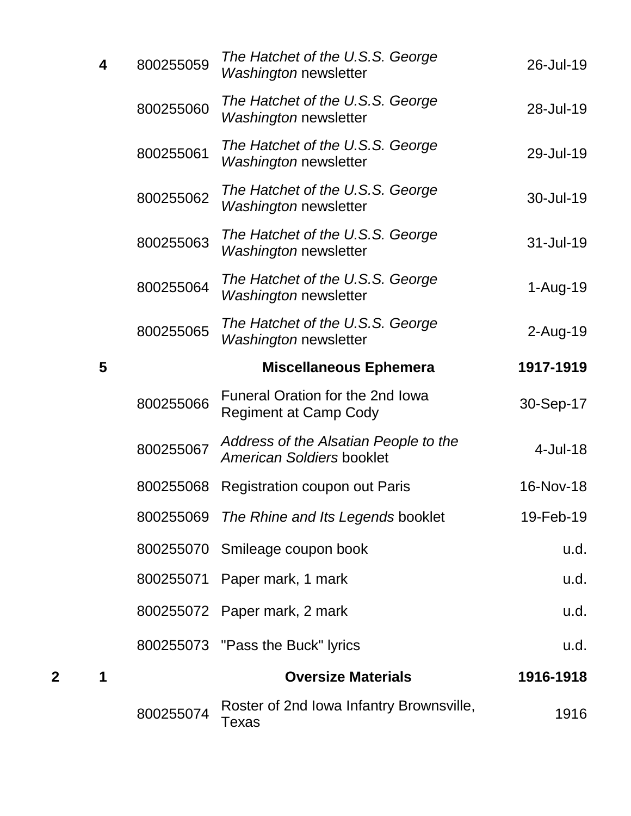|   |   | 800255074 | Roster of 2nd Iowa Infantry Brownsville,<br>Texas                         | 1916        |
|---|---|-----------|---------------------------------------------------------------------------|-------------|
| 2 | 1 |           | <b>Oversize Materials</b>                                                 | 1916-1918   |
|   |   |           | 800255073 "Pass the Buck" lyrics                                          | u.d.        |
|   |   |           | 800255072 Paper mark, 2 mark                                              | u.d.        |
|   |   |           | 800255071 Paper mark, 1 mark                                              | u.d.        |
|   |   | 800255070 | Smileage coupon book                                                      | u.d.        |
|   |   | 800255069 | The Rhine and Its Legends booklet                                         | 19-Feb-19   |
|   |   | 800255068 | <b>Registration coupon out Paris</b>                                      | 16-Nov-18   |
|   |   | 800255067 | Address of the Alsatian People to the<br><b>American Soldiers booklet</b> | $4$ -Jul-18 |
|   |   | 800255066 | Funeral Oration for the 2nd Iowa<br><b>Regiment at Camp Cody</b>          | 30-Sep-17   |
|   | 5 |           | <b>Miscellaneous Ephemera</b>                                             | 1917-1919   |
|   |   | 800255065 | The Hatchet of the U.S.S. George<br><b>Washington newsletter</b>          | $2$ -Aug-19 |
|   |   | 800255064 | The Hatchet of the U.S.S. George<br>Washington newsletter                 | $1-Au$ g-19 |
|   |   | 800255063 | The Hatchet of the U.S.S. George<br><b>Washington newsletter</b>          | 31-Jul-19   |
|   |   | 800255062 | The Hatchet of the U.S.S. George<br>Washington newsletter                 | 30-Jul-19   |
|   |   | 800255061 | The Hatchet of the U.S.S. George<br><b>Washington newsletter</b>          | 29-Jul-19   |
|   |   | 800255060 | The Hatchet of the U.S.S. George<br><b>Washington newsletter</b>          | 28-Jul-19   |
|   | 4 | 800255059 | The Hatchet of the U.S.S. George<br>Washington newsletter                 | 26-Jul-19   |